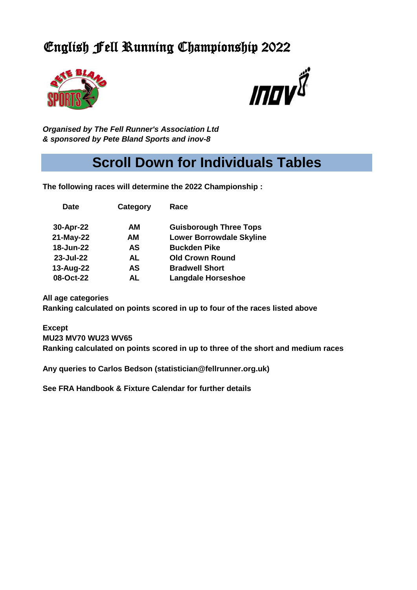## English Fell Running Championship 2022





*Organised by The Fell Runner's Association Ltd & sponsored by Pete Bland Sports and inov-8* 

**Date Category Race**

# **Scroll Down for Individuals Tables**

**The following races will determine the 2022 Championship :**

| 30-Apr-22 | AМ        | <b>Guisborough Three Tops</b>   |
|-----------|-----------|---------------------------------|
| 21-May-22 | <b>AM</b> | <b>Lower Borrowdale Skyline</b> |
| 18-Jun-22 | AS        | <b>Buckden Pike</b>             |
| 23-Jul-22 | AL        | <b>Old Crown Round</b>          |
| 13-Aug-22 | AS        | <b>Bradwell Short</b>           |
| 08-Oct-22 | AL        | <b>Langdale Horseshoe</b>       |
|           |           |                                 |

**All age categories Ranking calculated on points scored in up to four of the races listed above**

**Except MU23 MV70 WU23 WV65 Ranking calculated on points scored in up to three of the short and medium races**

**Any queries to Carlos Bedson (statistician@fellrunner.org.uk)**

**See FRA Handbook & Fixture Calendar for further details**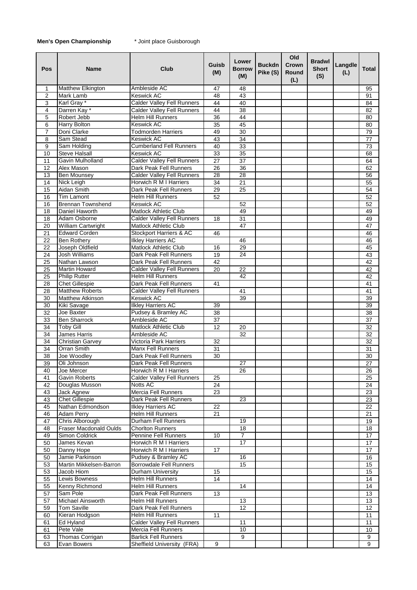## **Men's Open Championship** \* Joint place Guisborough

| Pos                 | <b>Name</b>                             | Club                                             | Guisb<br>(M)    | Lower<br><b>Borrow</b><br>(M) | <b>Buckdn</b><br>Pike (S) | Old<br>Crown<br>Round<br>(L) | <b>Bradwl</b><br><b>Short</b><br>(S) | Langdle<br>(L) | <b>Total</b>    |
|---------------------|-----------------------------------------|--------------------------------------------------|-----------------|-------------------------------|---------------------------|------------------------------|--------------------------------------|----------------|-----------------|
| $\mathbf{1}$        | Matthew Elkington                       | Ambleside AC                                     | 47              | 48                            |                           |                              |                                      |                | 95              |
| 2                   | Mark Lamb                               | Keswick AC                                       | 48              | $\overline{43}$               |                           |                              |                                      |                | 91              |
| 3                   | Karl Gray*                              | <b>Calder Valley Fell Runners</b>                | 44              | 40                            |                           |                              |                                      |                | 84              |
| 4                   | Darren Kay*                             | <b>Calder Valley Fell Runners</b>                | 44              | $\overline{38}$               |                           |                              |                                      |                | 82              |
| 5                   | Robert Jebb                             | <b>Helm Hill Runners</b><br><b>Keswick AC</b>    | 36              | 44                            |                           |                              |                                      |                | 80              |
| 6<br>$\overline{7}$ | Harry Bolton<br>Doni Clarke             | <b>Todmorden Harriers</b>                        | 35<br>49        | 45<br>30                      |                           |                              |                                      |                | 80<br>79        |
| 8                   | Sam Stead                               | <b>Keswick AC</b>                                | 43              | 34                            |                           |                              |                                      |                | $\overline{77}$ |
| 9                   | Sam Holding                             | <b>Cumberland Fell Runners</b>                   | 40              | 33                            |                           |                              |                                      |                | $\overline{73}$ |
| 10                  | <b>Steve Halsall</b>                    | <b>Keswick AC</b>                                | 33              | $\overline{35}$               |                           |                              |                                      |                | 68              |
| 11                  | Gavin Mulholland                        | <b>Calder Valley Fell Runners</b>                | 27              | 37                            |                           |                              |                                      |                | 64              |
| 12                  | Alex Mason                              | Dark Peak Fell Runners                           | 26              | $\overline{36}$               |                           |                              |                                      |                | 62              |
| 13                  | Ben Mounsey                             | <b>Calder Valley Fell Runners</b>                | 28              | 28                            |                           |                              |                                      |                | 56              |
| 14                  | Nick Leigh                              | Horwich R M I Harriers                           | 34              | 21                            |                           |                              |                                      |                | 55              |
| 15                  | <b>Aidan Smith</b>                      | Dark Peak Fell Runners                           | 29              | $\overline{25}$               |                           |                              |                                      |                | 54              |
| 16                  | <b>Tim Lamont</b>                       | <b>Helm Hill Runners</b>                         | 52              |                               |                           |                              |                                      |                | 52              |
| 16                  | <b>Brennan Townshend</b>                | Keswick AC                                       |                 | 52                            |                           |                              |                                      |                | 52              |
| 18                  | Daniel Haworth                          | <b>Matlock Athletic Club</b>                     |                 | 49                            |                           |                              |                                      |                | 49              |
| $\overline{18}$     | Adam Osborne                            | <b>Calder Valley Fell Runners</b>                | 18              | $\overline{31}$               |                           |                              |                                      |                | 49              |
| 20                  | William Cartwright                      | <b>Matlock Athletic Club</b>                     |                 | 47                            |                           |                              |                                      |                | 47              |
| 21                  | <b>Edward Corden</b>                    | Stockport Harriers & AC                          | 46              |                               |                           |                              |                                      |                | 46              |
| 22                  | Ben Rothery                             | <b>Ilkley Harriers AC</b>                        |                 | 46                            |                           |                              |                                      |                | 46              |
| 22                  | Joseph Oldfield<br><b>Josh Williams</b> | <b>Matlock Athletic Club</b>                     | 16              | 29<br>$\overline{24}$         |                           |                              |                                      |                | 45              |
| 24                  |                                         | Dark Peak Fell Runners<br>Dark Peak Fell Runners | 19              |                               |                           |                              |                                      |                | 43              |
| 25<br>25            | Nathan Lawson<br><b>Martin Howard</b>   | <b>Calder Valley Fell Runners</b>                | 42<br>20        | 22                            |                           |                              |                                      |                | 42<br>42        |
| $\overline{25}$     | <b>Philip Rutter</b>                    | <b>Helm Hill Runners</b>                         |                 | 42                            |                           |                              |                                      |                | 42              |
| 28                  | <b>Chet Gillespie</b>                   | Dark Peak Fell Runners                           | 41              |                               |                           |                              |                                      |                | 41              |
| 28                  | <b>Matthew Roberts</b>                  | <b>Calder Valley Fell Runners</b>                |                 | 41                            |                           |                              |                                      |                | 41              |
| 30                  | <b>Matthew Atkinson</b>                 | <b>Keswick AC</b>                                |                 | 39                            |                           |                              |                                      |                | 39              |
| 30                  | <b>Kiki Savage</b>                      | <b>Ilkley Harriers AC</b>                        | 39              |                               |                           |                              |                                      |                | 39              |
| 32                  | Joe Baxter                              | Pudsey & Bramley AC                              | $\overline{38}$ |                               |                           |                              |                                      |                | $\overline{38}$ |
| 33                  | <b>Ben Sharrock</b>                     | Ambleside AC                                     | 37              |                               |                           |                              |                                      |                | 37              |
| 34                  | <b>Toby Gill</b>                        | <b>Matlock Athletic Club</b>                     | 12              | 20                            |                           |                              |                                      |                | 32              |
| 34                  | <b>James Harris</b>                     | Ambleside AC                                     |                 | 32                            |                           |                              |                                      |                | 32              |
| 34                  | <b>Christian Garvey</b>                 | Victoria Park Harriers                           | 32              |                               |                           |                              |                                      |                | 32              |
| 34                  | Orran Smith                             | <b>Manx Fell Runners</b>                         | 31              |                               |                           |                              |                                      |                | 31              |
| 38                  | Joe Woodley                             | Dark Peak Fell Runners                           | 30              |                               |                           |                              |                                      |                | 30              |
| 39                  | Oli Johnson                             | Dark Peak Fell Runners                           |                 | 27                            |                           |                              |                                      |                | 27              |
| 40<br>41            | Joe Mercer<br><b>Gavin Roberts</b>      | Horwich R M I Harriers                           | 25              | 26                            |                           |                              |                                      |                | 26<br>25        |
| 42                  | Douglas Musson                          | Calder Valley Fell Runners<br><b>Notts AC</b>    | 24              |                               |                           |                              |                                      |                | 24              |
| 43                  | Jack Agnew                              | Mercia Fell Runners                              | 23              |                               |                           |                              |                                      |                | 23              |
| 43                  | <b>Chet Gillespie</b>                   | Dark Peak Fell Runners                           |                 | $\overline{23}$               |                           |                              |                                      |                | 23              |
| 45                  | Nathan Edmondson                        | <b>Ilkley Harriers AC</b>                        | 22              |                               |                           |                              |                                      |                | 22              |
| 46                  | <b>Adam Perry</b>                       | <b>Helm Hill Runners</b>                         | 21              |                               |                           |                              |                                      |                | 21              |
| 47                  | Chris Alborough                         | Durham Fell Runners                              |                 | 19                            |                           |                              |                                      |                | 19              |
| 48                  | Fraser Macdonald Oulds                  | <b>Chorlton Runners</b>                          |                 | 18                            |                           |                              |                                      |                | 18              |
| 49                  | Simon Coldrick                          | Pennine Fell Runners                             | 10              | $\overline{7}$                |                           |                              |                                      |                | 17              |
| 50                  | James Kevan                             | Horwich R M I Harriers                           |                 | $\overline{17}$               |                           |                              |                                      |                | 17              |
| 50                  | Danny Hope                              | Horwich R M I Harriers                           | 17              |                               |                           |                              |                                      |                | 17              |
| 50                  | Jamie Parkinson                         | Pudsey & Bramley AC                              |                 | 16                            |                           |                              |                                      |                | 16              |
| 53                  | Martin Mikkelsen-Barron                 | Borrowdale Fell Runners                          |                 | 15                            |                           |                              |                                      |                | 15              |
| 53                  | Jacob Hiom                              | Durham University                                | 15              |                               |                           |                              |                                      |                | 15              |
| 55                  | Lewis Bowness                           | Helm Hill Runners                                | 14              |                               |                           |                              |                                      |                | 14              |
| 55                  | Kenny Richmond                          | <b>Helm Hill Runners</b>                         |                 | 14                            |                           |                              |                                      |                | 14              |
| 57                  | Sam Pole                                | Dark Peak Fell Runners                           | 13              | 13                            |                           |                              |                                      |                | 13<br>13        |
| 57<br>59            | Michael Ainsworth<br><b>Tom Saville</b> | Helm Hill Runners<br>Dark Peak Fell Runners      |                 | 12                            |                           |                              |                                      |                | 12              |
| 60                  | Kieran Hodgson                          | <b>Helm Hill Runners</b>                         | 11              |                               |                           |                              |                                      |                | 11              |
| 61                  | Ed Hyland                               | <b>Calder Valley Fell Runners</b>                |                 | $\overline{11}$               |                           |                              |                                      |                | 11              |
| 61                  | Pete Vale                               | <b>Mercia Fell Runners</b>                       |                 | 10                            |                           |                              |                                      |                | 10              |
| 63                  | Thomas Corrigan                         | <b>Barlick Fell Runners</b>                      |                 | 9                             |                           |                              |                                      |                | 9               |
| 63                  | Evan Bowers                             | Sheffield University (FRA)                       | 9               |                               |                           |                              |                                      |                | 9               |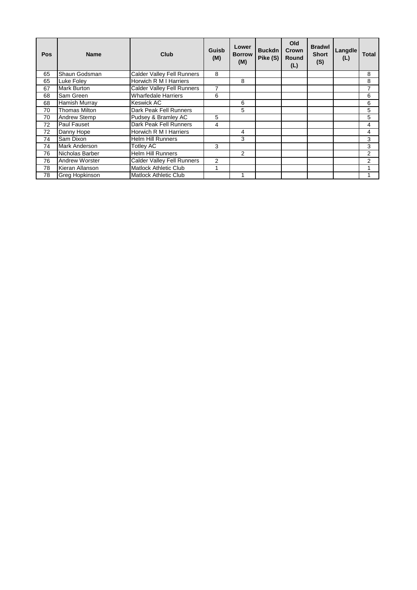| <b>Pos</b> | <b>Name</b>           | Club                              | Guisb<br>(M) | Lower<br><b>Borrow</b><br>(M) | <b>Buckdn</b><br>Pike (S) | Old<br>Crown<br>Round<br>(L) | <b>Bradwl</b><br><b>Short</b><br>(S) | <b>Langdle</b><br>(L) | <b>Total</b>   |
|------------|-----------------------|-----------------------------------|--------------|-------------------------------|---------------------------|------------------------------|--------------------------------------|-----------------------|----------------|
| 65         | Shaun Godsman         | <b>Calder Valley Fell Runners</b> | 8            |                               |                           |                              |                                      |                       | 8              |
| 65         | Luke Foley            | Horwich R M I Harriers            |              | 8                             |                           |                              |                                      |                       | 8              |
| 67         | <b>Mark Burton</b>    | <b>Calder Valley Fell Runners</b> | 7            |                               |                           |                              |                                      |                       | 7              |
| 68         | Sam Green             | <b>Wharfedale Harriers</b>        | 6            |                               |                           |                              |                                      |                       | 6              |
| 68         | <b>Hamish Murray</b>  | Keswick AC                        |              | 6                             |                           |                              |                                      |                       | 6              |
| 70         | <b>Thomas Milton</b>  | Dark Peak Fell Runners            |              | 5                             |                           |                              |                                      |                       | 5              |
| 70         | <b>Andrew Stemp</b>   | Pudsey & Bramley AC               | 5            |                               |                           |                              |                                      |                       | 5              |
| 72         | <b>Paul Fauset</b>    | Dark Peak Fell Runners            | 4            |                               |                           |                              |                                      |                       | 4              |
| 72         | Danny Hope            | <b>Horwich R M I Harriers</b>     |              | 4                             |                           |                              |                                      |                       | 4              |
| 74         | Sam Dixon             | <b>Helm Hill Runners</b>          |              | 3                             |                           |                              |                                      |                       | 3              |
| 74         | <b>Mark Anderson</b>  | Totley AC                         | 3            |                               |                           |                              |                                      |                       | 3              |
| 76         | Nicholas Barber       | <b>Helm Hill Runners</b>          |              | $\mathfrak{p}$                |                           |                              |                                      |                       | $\overline{2}$ |
| 76         | <b>Andrew Worster</b> | Calder Valley Fell Runners        | 2            |                               |                           |                              |                                      |                       | 2              |
| 78         | Kieran Allanson       | <b>Matlock Athletic Club</b>      |              |                               |                           |                              |                                      |                       | 4              |
| 78         | Greg Hopkinson        | <b>Matlock Athletic Club</b>      |              |                               |                           |                              |                                      |                       |                |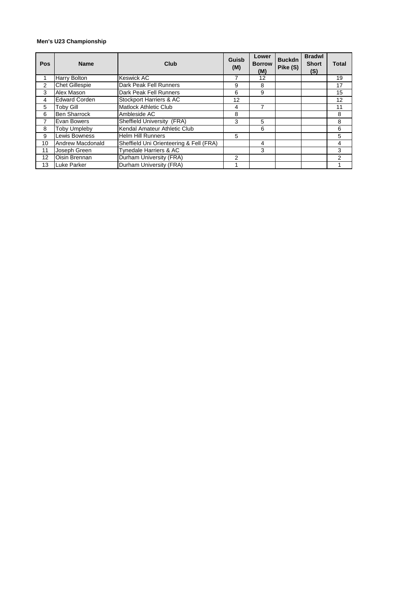#### **Men's U23 Championship**

| Pos | <b>Name</b>           | Club                                    | Guisb<br>(M) | Lower<br><b>Borrow</b><br>(M) | <b>Buckdn</b><br>Pike (S) | <b>Bradwl</b><br><b>Short</b><br>(S) | <b>Total</b>   |
|-----|-----------------------|-----------------------------------------|--------------|-------------------------------|---------------------------|--------------------------------------|----------------|
|     | Harry Bolton          | <b>Keswick AC</b>                       |              | 12                            |                           |                                      | 19             |
| 2   | <b>Chet Gillespie</b> | Dark Peak Fell Runners                  | 9            | 8                             |                           |                                      | 17             |
| 3   | Alex Mason            | Dark Peak Fell Runners                  | 6            | 9                             |                           |                                      | 15             |
| 4   | <b>Edward Corden</b>  | Stockport Harriers & AC                 | 12           |                               |                           |                                      | 12             |
| 5   | Toby Gill             | <b>Matlock Athletic Club</b>            | 4            |                               |                           |                                      | 11             |
| 6   | <b>Ben Sharrock</b>   | Ambleside AC                            | 8            |                               |                           |                                      | 8              |
| 7   | Evan Bowers           | Sheffield University (FRA)              | 3            | 5                             |                           |                                      | 8              |
| 8   | <b>Toby Umpleby</b>   | Kendal Amateur Athletic Club            |              | 6                             |                           |                                      | 6              |
| 9   | Lewis Bowness         | <b>Helm Hill Runners</b>                | 5            |                               |                           |                                      | 5              |
| 10  | Andrew Macdonald      | Sheffield Uni Orienteering & Fell (FRA) |              | 4                             |                           |                                      | 4              |
| 11  | Joseph Green          | Tynedale Harriers & AC                  |              | 3                             |                           |                                      | 3              |
| 12  | Oisin Brennan         | Durham University (FRA)                 | 2            |                               |                           |                                      | $\overline{2}$ |
| 13  | Luke Parker           | Durham University (FRA)                 |              |                               |                           |                                      |                |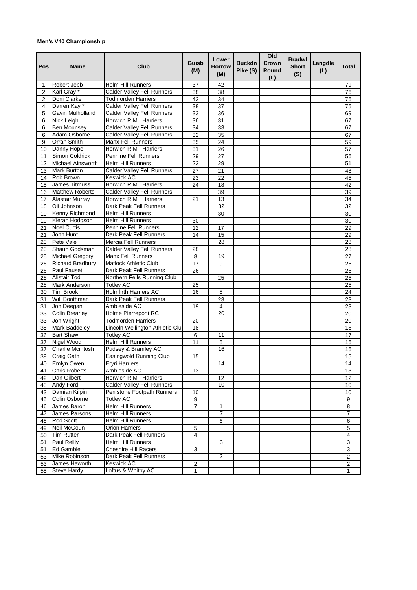## **Men's V40 Championship**

| Pos            | <b>Name</b>              | Club                                            | Guisb<br>(M)    | Lower<br><b>Borrow</b><br>(M) | <b>Buckdn</b><br>Pike (S) | Old<br>Crown<br>Round<br>(L) | <b>Bradwl</b><br><b>Short</b><br>(S) | Langdle<br>(L) | <b>Total</b>            |
|----------------|--------------------------|-------------------------------------------------|-----------------|-------------------------------|---------------------------|------------------------------|--------------------------------------|----------------|-------------------------|
| 1              | Robert Jebb              | <b>Helm Hill Runners</b>                        | 37              | 42                            |                           |                              |                                      |                | 79                      |
| $\overline{2}$ | Karl Gray <sup>*</sup>   | <b>Calder Valley Fell Runners</b>               | 38              | 38                            |                           |                              |                                      |                | 76                      |
| 2              | Doni Clarke              | Todmorden Harriers                              | 42              | 34                            |                           |                              |                                      |                | 76                      |
| 4              | Darren Kay*              | <b>Calder Valley Fell Runners</b>               | 38              | 37                            |                           |                              |                                      |                | 75                      |
| 5              | Gavin Mulholland         | <b>Calder Valley Fell Runners</b>               | 33              | 36                            |                           |                              |                                      |                | 69                      |
| 6              | Nick Leigh               | Horwich R M I Harriers                          | 36              | 31                            |                           |                              |                                      |                | 67                      |
| 6              | <b>Ben Mounsey</b>       | Calder Valley Fell Runners                      | 34              | 33                            |                           |                              |                                      |                | 67                      |
| 6              | Adam Osborne             | <b>Calder Valley Fell Runners</b>               | 32              | 35                            |                           |                              |                                      |                | 67                      |
| 9              | <b>Orran Smith</b>       | <b>Manx Fell Runners</b>                        | 35              | 24                            |                           |                              |                                      |                | 59                      |
| 10             | Danny Hope               | Horwich R M I Harriers                          | 31              | 26                            |                           |                              |                                      |                | 57                      |
| 11             | Simon Coldrick           | Pennine Fell Runners                            | 29              | 27                            |                           |                              |                                      |                | 56                      |
| 12             | <b>Michael Ainsworth</b> | <b>Helm Hill Runners</b>                        | 22              | 29                            |                           |                              |                                      |                | 51                      |
| 13             | <b>Mark Burton</b>       | <b>Calder Valley Fell Runners</b>               | $\overline{27}$ | $\overline{21}$               |                           |                              |                                      |                | 48                      |
| 14             | Rob Brown                | Keswick AC                                      | 23              | 22                            |                           |                              |                                      |                | 45                      |
| 15             | James Titmuss            | Horwich R M I Harriers                          | 24              | 18                            |                           |                              |                                      |                | 42                      |
| 16             | <b>Matthew Roberts</b>   | Calder Valley Fell Runners                      |                 | 39                            |                           |                              |                                      |                | 39                      |
| 17             | <b>Alastair Murray</b>   | Horwich R M I Harriers                          | 21              | 13                            |                           |                              |                                      |                | 34                      |
| 18             | Oli Johnson              | Dark Peak Fell Runners                          |                 | 32                            |                           |                              |                                      |                | $\overline{32}$         |
| 19             | Kenny Richmond           | Helm Hill Runners                               |                 | 30                            |                           |                              |                                      |                | 30                      |
| 19             | Kieran Hodgson           | Helm Hill Runners                               | 30              |                               |                           |                              |                                      |                | 30                      |
| 21             | <b>Noel Curtis</b>       | Pennine Fell Runners                            | 12              | 17                            |                           |                              |                                      |                | 29                      |
| 21             | John Hunt                | Dark Peak Fell Runners                          | 14              | 15                            |                           |                              |                                      |                | 29                      |
| 23             | Pete Vale                | Mercia Fell Runners                             |                 | 28                            |                           |                              |                                      |                | 28                      |
| 23             | Shaun Godsman            | <b>Calder Valley Fell Runners</b>               | 28              |                               |                           |                              |                                      |                | 28                      |
|                | <b>Michael Gregory</b>   | <b>Manx Fell Runners</b>                        | 8               | 19                            |                           |                              |                                      |                | 27                      |
| 25<br>26       | <b>Richard Bradbury</b>  | <b>Matlock Athletic Club</b>                    | 17              | 9                             |                           |                              |                                      |                | 26                      |
| 26             | <b>Paul Fauset</b>       | Dark Peak Fell Runners                          | 26              |                               |                           |                              |                                      |                | 26                      |
| 28             | Alistair Tod             |                                                 |                 |                               |                           |                              |                                      |                | $\overline{25}$         |
|                | Mark Anderson            | Northern Fells Running Club<br><b>Totley AC</b> |                 | 25                            |                           |                              |                                      |                | 25                      |
| 28             | <b>Tim Brook</b>         | <b>Holmfirth Harriers AC</b>                    | 25<br>16        |                               |                           |                              |                                      |                |                         |
| 30             | Will Boothman            | Dark Peak Fell Runners                          |                 | 8                             |                           |                              |                                      |                | 24                      |
| 31             |                          | Ambleside AC                                    |                 | 23<br>4                       |                           |                              |                                      |                | 23                      |
| 31             | Jon Deegan               |                                                 | 19              |                               |                           |                              |                                      |                | 23                      |
| 33             | <b>Colin Brearley</b>    | Holme Pierrepont RC                             |                 | 20                            |                           |                              |                                      |                | 20                      |
| 33             | Jon Wright               | Todmorden Harriers                              | 20              |                               |                           |                              |                                      |                | 20                      |
| 35             | Mark Baddeley            | Lincoln Wellington Athletic Clul                | 18              |                               |                           |                              |                                      |                | 18                      |
| 36             | <b>Bart Shaw</b>         | <b>Totley AC</b>                                | 6               | 11                            |                           |                              |                                      |                | 17                      |
| 37             | Nigel Wood               | <b>Helm Hill Runners</b>                        | $\overline{11}$ | 5                             |                           |                              |                                      |                | 16                      |
| 37             | Charlie Mcintosh         | Pudsey & Bramley AC                             |                 | 16                            |                           |                              |                                      |                | 16                      |
| 39             | Craig Gath               | Easingwold Running Club                         | 15              |                               |                           |                              |                                      |                | 15                      |
| 40             | <b>Emlyn Owen</b>        | Eryri Harriers                                  |                 | 14                            |                           |                              |                                      |                | 14                      |
| 41             | <b>Chris Roberts</b>     | Ambleside AC                                    | 13              |                               |                           |                              |                                      |                | 13                      |
| 42             | Dan Gilbert              | Horwich R M I Harriers                          |                 | 12                            |                           |                              |                                      |                | 12                      |
| 43             | Andy Ford                | Calder Valley Fell Runners                      |                 | 10                            |                           |                              |                                      |                | 10                      |
| 43             | Damian Kilpin            | Penistone Footpath Runners                      | 10              |                               |                           |                              |                                      |                | 10                      |
| 45             | Colin Osborne            | <b>Totley AC</b>                                | 9               |                               |                           |                              |                                      |                | 9                       |
| 46             | James Baron              | <b>Helm Hill Runners</b>                        | $\overline{7}$  | 1                             |                           |                              |                                      |                | 8                       |
| 47             | James Parsons            | Helm Hill Runners                               |                 | 7                             |                           |                              |                                      |                | 7                       |
| 48             | Rod Scott                | Helm Hill Runners                               |                 | 6                             |                           |                              |                                      |                | 6                       |
| 49             | Neil McGoun              | Orion Harriers                                  | 5               |                               |                           |                              |                                      |                | 5                       |
| 50             | <b>Tim Rutter</b>        | Dark Peak Fell Runners                          | 4               |                               |                           |                              |                                      |                | $\overline{\mathbf{4}}$ |
| 51             | Paul Reilly              | Helm Hill Runners                               |                 | 3                             |                           |                              |                                      |                | 3                       |
| 51             | Ed Gamble                | <b>Cheshire Hill Racers</b>                     | 3               |                               |                           |                              |                                      |                | $\overline{3}$          |
| 53             | Mike Robinson            | Dark Peak Fell Runners                          |                 | $\overline{\mathbf{c}}$       |                           |                              |                                      |                | $\overline{2}$          |
| 53             | James Haworth            | Keswick AC                                      | $\overline{c}$  |                               |                           |                              |                                      |                | $\overline{c}$          |
| 55             | <b>Steve Hardy</b>       | Loftus & Whitby AC                              | $\mathbf{1}$    |                               |                           |                              |                                      |                | 1                       |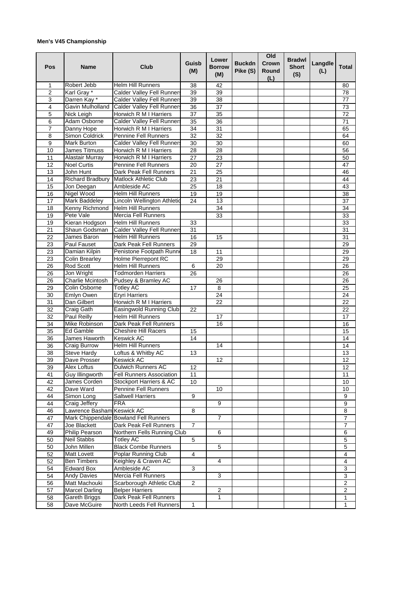## **Men's V45 Championship**

| Pos              | <b>Name</b>                | Club                                  | Guisb<br>(M)    | Lower<br><b>Borrow</b><br>(M) | <b>Buckdn</b><br>Pike (S) | Old<br>Crown<br>Round<br>(L) | <b>Bradwl</b><br><b>Short</b><br>(S) | Langdle<br>(L) | <b>Total</b>            |
|------------------|----------------------------|---------------------------------------|-----------------|-------------------------------|---------------------------|------------------------------|--------------------------------------|----------------|-------------------------|
| 1                | Robert Jebb                | <b>Helm Hill Runners</b>              | 38              | 42                            |                           |                              |                                      |                | 80                      |
| $\overline{2}$   | Karl Gray *                | <b>Calder Valley Fell Runners</b>     | 39              | 39                            |                           |                              |                                      |                | 78                      |
| 3                | Darren Kay*                | <b>Calder Valley Fell Runners</b>     | 39              | 38                            |                           |                              |                                      |                | 77                      |
| 4                | Gavin Mulholland           | <b>Calder Valley Fell Runners</b>     | 36              | 37                            |                           |                              |                                      |                | 73                      |
| 5                | Nick Leigh                 | Horwich R M I Harriers                | 37              | 35                            |                           |                              |                                      |                | 72                      |
| 6                | Adam Osborne               | <b>Calder Valley Fell Runners</b>     | $\overline{35}$ | $\overline{36}$               |                           |                              |                                      |                | $\overline{71}$         |
| 7                | Danny Hope                 | Horwich R M I Harriers                | 34              | 31                            |                           |                              |                                      |                | 65                      |
| 8                | Simon Coldrick             | Pennine Fell Runners                  | $\overline{32}$ | $\overline{32}$               |                           |                              |                                      |                | 64                      |
| $\boldsymbol{9}$ | Mark Burton                | <b>Calder Valley Fell Runners</b>     | $\overline{30}$ | 30                            |                           |                              |                                      |                | 60                      |
| 10               | <b>James Titmuss</b>       | Horwich R M I Harriers                | $\overline{28}$ | $\overline{28}$               |                           |                              |                                      |                | 56                      |
| 11               | Alastair Murray            | Horwich R M I Harriers                | 27              | 23                            |                           |                              |                                      |                | 50                      |
| 12               | <b>Noel Curtis</b>         | Pennine Fell Runners                  | 20              | 27                            |                           |                              |                                      |                | 47                      |
| 13               | John Hunt                  | Dark Peak Fell Runners                | 21              | 25                            |                           |                              |                                      |                | 46                      |
| 14               | Richard Bradbury           | <b>Matlock Athletic Club</b>          | 23              | 21                            |                           |                              |                                      |                | 44                      |
| 15               | Jon Deegan                 | Ambleside AC                          | 25              | 18                            |                           |                              |                                      |                | 43                      |
| 16               | Nigel Wood                 | <b>Helm Hill Runners</b>              | 19              | 19                            |                           |                              |                                      |                | 38                      |
| 17               | Mark Baddeley              | Lincoln Wellington Athletic           | 24              | 13                            |                           |                              |                                      |                | 37                      |
| 18               | Kenny Richmond             | <b>Helm Hill Runners</b>              |                 | 34                            |                           |                              |                                      |                | 34                      |
| 19               | Pete Vale                  | Mercia Fell Runners                   |                 | $\overline{33}$               |                           |                              |                                      |                | 33                      |
| 19               | Kieran Hodgson             | <b>Helm Hill Runners</b>              | 33              |                               |                           |                              |                                      |                | 33                      |
| $\overline{21}$  | Shaun Godsman              | <b>Calder Valley Fell Runners</b>     | 31              |                               |                           |                              |                                      |                | 31                      |
| 22               | James Baron                | <b>Helm Hill Runners</b>              | 16              | 15                            |                           |                              |                                      |                | 31                      |
| 23               | Paul Fauset                | Dark Peak Fell Runners                | 29              |                               |                           |                              |                                      |                | 29                      |
| 23               | Damian Kilpin              | Penistone Footpath Runne              | 18              | 11                            |                           |                              |                                      |                | 29                      |
| 23               | <b>Colin Brearley</b>      | Holme Pierrepont RC                   |                 | 29                            |                           |                              |                                      |                | 29                      |
| 26               | Rod Scott                  | <b>Helm Hill Runners</b>              | 6               | $\overline{20}$               |                           |                              |                                      |                | 26                      |
| 26               | Jon Wright                 | <b>Todmorden Harriers</b>             | $\overline{26}$ |                               |                           |                              |                                      |                | 26                      |
| 26               | Charlie Mcintosh           | Pudsey & Bramley AC                   |                 | 26                            |                           |                              |                                      |                | 26                      |
| 29               | Colin Osborne              | <b>Totley AC</b>                      | 17              | 8                             |                           |                              |                                      |                | 25                      |
| 30               | Emlyn Owen                 | <b>Eryri Harriers</b>                 |                 | 24                            |                           |                              |                                      |                | 24                      |
| 31               | Dan Gilbert                | Horwich R M I Harriers                |                 | 22                            |                           |                              |                                      |                | 22                      |
| 32               | Craig Gath                 | Easingwold Running Club               | 22              |                               |                           |                              |                                      |                | 22                      |
| 32               | <b>Paul Reilly</b>         | <b>Helm Hill Runners</b>              |                 | 17                            |                           |                              |                                      |                | 17                      |
| 34               | Mike Robinson              | Dark Peak Fell Runners                |                 | 16                            |                           |                              |                                      |                | 16                      |
| 35               | Ed Gamble                  | <b>Cheshire Hill Racers</b>           | 15              |                               |                           |                              |                                      |                | 15                      |
| 36               | James Haworth              | Keswick AC                            | 14              |                               |                           |                              |                                      |                | 14                      |
| 36               | Craig Burrow               | Helm Hill Runners                     |                 | 14                            |                           |                              |                                      |                | 14                      |
| 38               | <b>Steve Hardy</b>         | Loftus & Whitby AC                    | 13              |                               |                           |                              |                                      |                | 13                      |
| 39               | Dave Prosser               | <b>Keswick AC</b>                     |                 | 12                            |                           |                              |                                      |                | 12                      |
| 39               | Alex Loftus                | Dulwich Runners AC                    | 12              |                               |                           |                              |                                      |                | 12                      |
| 41               | Guy Illingworth            | <b>Fell Runners Association</b>       | 11              |                               |                           |                              |                                      |                | 11                      |
| 42               | James Corden               | Stockport Harriers & AC               | 10              |                               |                           |                              |                                      |                | 10                      |
| 42               | Dave Ward                  | <b>Pennine Fell Runners</b>           |                 | 10                            |                           |                              |                                      |                | 10                      |
| 44               | Simon Long                 | <b>Saltwell Harriers</b>              | 9               |                               |                           |                              |                                      |                | 9                       |
| 44               | Craig Jeffery              | <b>FRA</b>                            |                 | 9                             |                           |                              |                                      |                | 9                       |
| 46               | Lawrence Basham Keswick AC |                                       | 8               |                               |                           |                              |                                      |                | 8                       |
| 47               |                            | Mark Chippendale Bowland Fell Runners |                 | $\overline{7}$                |                           |                              |                                      |                | 7                       |
| 47               | Joe Blackett               | Dark Peak Fell Runners                | 7               |                               |                           |                              |                                      |                | 7                       |
| 49               |                            |                                       |                 | $6\overline{6}$               |                           |                              |                                      |                |                         |
|                  | <b>Philip Pearson</b>      | Northern Fells Running Club           |                 |                               |                           |                              |                                      |                | 6                       |
| 50               | Neil Stabbs                | <b>Totley AC</b>                      | 5               |                               |                           |                              |                                      |                | 5                       |
| 50               | John Millen                | <b>Black Combe Runners</b>            |                 | 5                             |                           |                              |                                      |                | $\mathbf 5$             |
| 52               | Matt Lovett                | Poplar Running Club                   | $\overline{4}$  |                               |                           |                              |                                      |                | 4                       |
| 52               | <b>Ben Timbers</b>         | Keighley & Craven AC                  |                 | $\overline{4}$                |                           |                              |                                      |                | 4                       |
| 54               | <b>Edward Box</b>          | Ambleside AC                          | 3               |                               |                           |                              |                                      |                | 3                       |
| 54               | Andy Davies                | Mercia Fell Runners                   |                 | 3                             |                           |                              |                                      |                | 3                       |
| 56               | Matt Machouki              | Scarborough Athletic Club             | $\overline{2}$  |                               |                           |                              |                                      |                | $\overline{\mathbf{c}}$ |
| 57               | <b>Marcel Darling</b>      | <b>Belper Harriers</b>                |                 | $\overline{2}$                |                           |                              |                                      |                | $\overline{2}$          |
| 58               | Gareth Briggs              | Dark Peak Fell Runners                |                 | 1                             |                           |                              |                                      |                | 1                       |
| 58               | Dave McGuire               | North Leeds Fell Runners              | $\mathbf{1}$    |                               |                           |                              |                                      |                | 1                       |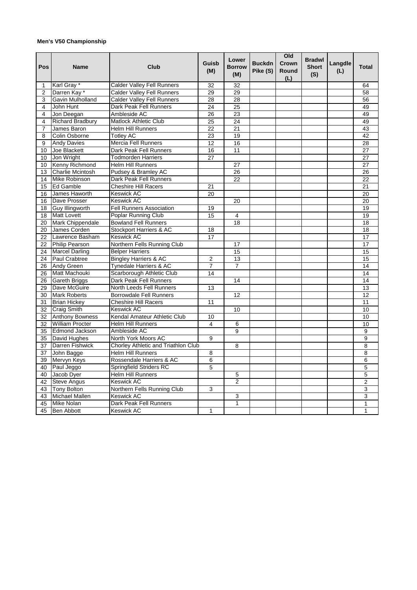## **Men's V50 Championship**

| Pos            | <b>Name</b>             | Club                                | Guisb<br>(M)            | Lower<br><b>Borrow</b><br>(M) | <b>Buckdn</b><br>Pike (S) | Old<br>Crown<br>Round<br>(L) | <b>Bradwl</b><br><b>Short</b><br>(S) | Langdle<br>(L) | Total           |
|----------------|-------------------------|-------------------------------------|-------------------------|-------------------------------|---------------------------|------------------------------|--------------------------------------|----------------|-----------------|
| 1              | Karl Gray <sup>*</sup>  | <b>Calder Valley Fell Runners</b>   | 32                      | 32                            |                           |                              |                                      |                | 64              |
| $\overline{2}$ | Darren Kay *            | <b>Calder Valley Fell Runners</b>   | 29                      | 29                            |                           |                              |                                      |                | 58              |
| 3              | Gavin Mulholland        | <b>Calder Valley Fell Runners</b>   | 28                      | $\overline{28}$               |                           |                              |                                      |                | 56              |
| 4              | John Hunt               | Dark Peak Fell Runners              | 24                      | 25                            |                           |                              |                                      |                | 49              |
| 4              | Jon Deegan              | Ambleside AC                        | 26                      | 23                            |                           |                              |                                      |                | 49              |
| 4              | <b>Richard Bradbury</b> | Matlock Athletic Club               | $\overline{25}$         | $\overline{24}$               |                           |                              |                                      |                | 49              |
| 7              | James Baron             | <b>Helm Hill Runners</b>            | 22                      | 21                            |                           |                              |                                      |                | 43              |
| 8              | <b>Colin Osborne</b>    | <b>Totley AC</b>                    | 23                      | 19                            |                           |                              |                                      |                | 42              |
| 9              | <b>Andy Davies</b>      | <b>Mercia Fell Runners</b>          | 12                      | 16                            |                           |                              |                                      |                | 28              |
| 10             | Joe Blackett            | Dark Peak Fell Runners              | 16                      | 11                            |                           |                              |                                      |                | 27              |
| 10             | Jon Wright              | <b>Todmorden Harriers</b>           | 27                      |                               |                           |                              |                                      |                | 27              |
| 10             | Kenny Richmond          | <b>Helm Hill Runners</b>            |                         | 27                            |                           |                              |                                      |                | 27              |
| 13             | <b>Charlie Mcintosh</b> | Pudsey & Bramley AC                 |                         | 26                            |                           |                              |                                      |                | 26              |
| 14             | Mike Robinson           | Dark Peak Fell Runners              |                         | 22                            |                           |                              |                                      |                | 22              |
| 15             | <b>Ed Gamble</b>        | <b>Cheshire Hill Racers</b>         | 21                      |                               |                           |                              |                                      |                | 21              |
| 16             | James Haworth           | Keswick AC                          | 20                      |                               |                           |                              |                                      |                | 20              |
| 16             | Dave Prosser            | Keswick AC                          |                         | 20                            |                           |                              |                                      |                | 20              |
| 18             | <b>Guy Illingworth</b>  | <b>Fell Runners Association</b>     | 19                      |                               |                           |                              |                                      |                | 19              |
| 18             | <b>Matt Lovett</b>      | Poplar Running Club                 | 15                      | 4                             |                           |                              |                                      |                | $\overline{19}$ |
| 20             | <b>Mark Chippendale</b> | <b>Bowland Fell Runners</b>         |                         | 18                            |                           |                              |                                      |                | 18              |
| 20             | James Corden            | Stockport Harriers & AC             | 18                      |                               |                           |                              |                                      |                | $\overline{18}$ |
| 22             | Lawrence Basham         | <b>Keswick AC</b>                   | 17                      |                               |                           |                              |                                      |                | 17              |
| 22             | <b>Philip Pearson</b>   | Northern Fells Running Club         |                         | 17                            |                           |                              |                                      |                | 17              |
| 24             | <b>Marcel Darling</b>   | <b>Belper Harriers</b>              |                         | 15                            |                           |                              |                                      |                | 15              |
| 24             | Paul Crabtree           | <b>Bingley Harriers &amp; AC</b>    | $\overline{2}$          | 13                            |                           |                              |                                      |                | 15              |
| 26             | <b>Andy Green</b>       | <b>Tynedale Harriers &amp; AC</b>   | 7                       | 7                             |                           |                              |                                      |                | 14              |
| 26             | Matt Machouki           | Scarborough Athletic Club           | 14                      |                               |                           |                              |                                      |                | 14              |
| 26             | <b>Gareth Briggs</b>    | Dark Peak Fell Runners              |                         | 14                            |                           |                              |                                      |                | 14              |
| 29             | Dave McGuire            | North Leeds Fell Runners            | 13                      |                               |                           |                              |                                      |                | 13              |
| 30             | <b>Mark Roberts</b>     | <b>Borrowdale Fell Runners</b>      |                         | 12                            |                           |                              |                                      |                | 12              |
| 31             | <b>Brian Hickey</b>     | <b>Cheshire Hill Racers</b>         | 11                      |                               |                           |                              |                                      |                | 11              |
| 32             | <b>Craig Smith</b>      | <b>Keswick AC</b>                   |                         | 10                            |                           |                              |                                      |                | 10              |
| 32             | <b>Anthony Bowness</b>  | Kendal Amateur Athletic Club        | 10                      |                               |                           |                              |                                      |                | 10              |
| 32             | <b>William Procter</b>  | <b>Helm Hill Runners</b>            | $\overline{\mathbf{4}}$ | 6                             |                           |                              |                                      |                | 10              |
| 35             | <b>Edmond Jackson</b>   | Ambleside AC                        |                         | $\overline{9}$                |                           |                              |                                      |                | $\overline{9}$  |
| 35             | David Hughes            | North York Moors AC                 | 9                       |                               |                           |                              |                                      |                | 9               |
| 37             | <b>Darren Fishwick</b>  | Chorley Athletic and Triathlon Club |                         | 8                             |                           |                              |                                      |                | 8               |
| 37             | John Bagge              | <b>Helm Hill Runners</b>            | 8                       |                               |                           |                              |                                      |                | 8               |
| 39             | Mervyn Keys             | Rossendale Harriers & AC            | 6                       |                               |                           |                              |                                      |                | $\overline{6}$  |
| 40             | Paul Jeggo              | Springfield Striders RC             | 5                       |                               |                           |                              |                                      |                | 5               |
| 40             | Jacob Dyer              | <b>Helm Hill Runners</b>            |                         | 5                             |                           |                              |                                      |                | 5               |
| 42             | <b>Steve Angus</b>      | <b>Keswick AC</b>                   |                         | $\overline{2}$                |                           |                              |                                      |                | $\overline{2}$  |
| 43             | <b>Tony Bolton</b>      | Northern Fells Running Club         | 3                       |                               |                           |                              |                                      |                | 3               |
| 43             | <b>Michael Mallen</b>   | <b>Keswick AC</b>                   |                         | 3                             |                           |                              |                                      |                | 3               |
| 45             | <b>Mike Nolan</b>       | Dark Peak Fell Runners              |                         | 1                             |                           |                              |                                      |                | $\mathbf{1}$    |
| 45             | <b>Ben Abbott</b>       | <b>Keswick AC</b>                   | $\mathbf{1}$            |                               |                           |                              |                                      |                | 1               |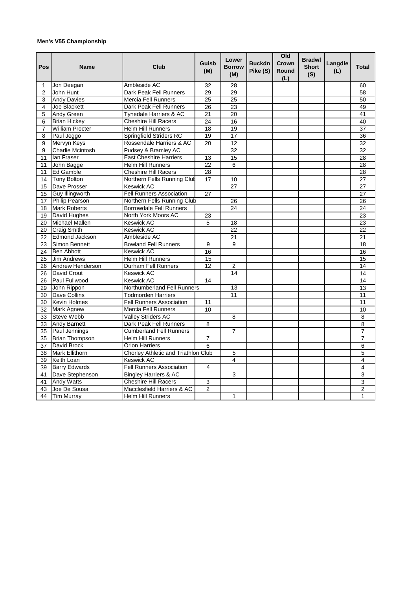## **Men's V55 Championship**

| Pos            | <b>Name</b>            | Club                                | Guisb<br>(M)    | Lower<br><b>Borrow</b><br>(M) | <b>Buckdn</b><br>Pike (S) | Old<br>Crown<br>Round<br>(L) | <b>Bradwl</b><br><b>Short</b><br>(S) | Langdle<br>(L) | <b>Total</b>   |
|----------------|------------------------|-------------------------------------|-----------------|-------------------------------|---------------------------|------------------------------|--------------------------------------|----------------|----------------|
| 1              | Jon Deegan             | Ambleside AC                        | 32              | 28                            |                           |                              |                                      |                | 60             |
| $\overline{2}$ | John Hunt              | Dark Peak Fell Runners              | 29              | 29                            |                           |                              |                                      |                | 58             |
| 3              | <b>Andy Davies</b>     | <b>Mercia Fell Runners</b>          | 25              | 25                            |                           |                              |                                      |                | 50             |
| 4              | Joe Blackett           | Dark Peak Fell Runners              | 26              | 23                            |                           |                              |                                      |                | 49             |
| 5              | Andy Green             | Tynedale Harriers & AC              | 21              | 20                            |                           |                              |                                      |                | 41             |
| 6              | <b>Brian Hickey</b>    | <b>Cheshire Hill Racers</b>         | $\overline{24}$ | 16                            |                           |                              |                                      |                | 40             |
| 7              | <b>William Procter</b> | <b>Helm Hill Runners</b>            | 18              | 19                            |                           |                              |                                      |                | 37             |
| 8              | Paul Jeggo             | <b>Springfield Striders RC</b>      | 19              | 17                            |                           |                              |                                      |                | 36             |
| 9              | Mervyn Keys            | Rossendale Harriers & AC            | 20              | 12                            |                           |                              |                                      |                | 32             |
| 9              | Charlie Mcintosh       | Pudsey & Bramley AC                 |                 | $\overline{32}$               |                           |                              |                                      |                | 32             |
| 11             | lan Fraser             | <b>East Cheshire Harriers</b>       | 13              | 15                            |                           |                              |                                      |                | 28             |
| 11             | John Bagge             | <b>Helm Hill Runners</b>            | 22              | 6                             |                           |                              |                                      |                | 28             |
| 11             | Ed Gamble              | <b>Cheshire Hill Racers</b>         | 28              |                               |                           |                              |                                      |                | 28             |
| 14             | <b>Tony Bolton</b>     | Northern Fells Running Clut         | 17              | 10                            |                           |                              |                                      |                | 27             |
| 15             | Dave Prosser           | Keswick AC                          |                 | 27                            |                           |                              |                                      |                | 27             |
| 15             | Guy Illingworth        | <b>Fell Runners Association</b>     | 27              |                               |                           |                              |                                      |                | 27             |
| 17             | <b>Philip Pearson</b>  | Northern Fells Running Club         |                 | 26                            |                           |                              |                                      |                | 26             |
| 18             | <b>Mark Roberts</b>    | <b>Borrowdale Fell Runners</b>      |                 | 24                            |                           |                              |                                      |                | 24             |
| 19             | David Hughes           | North York Moors AC                 | 23              |                               |                           |                              |                                      |                | 23             |
| 20             | Michael Mallen         | <b>Keswick AC</b>                   | 5               | 18                            |                           |                              |                                      |                | 23             |
| 20             | <b>Craig Smith</b>     | Keswick AC                          |                 | 22                            |                           |                              |                                      |                | 22             |
| 22             | Edmond Jackson         | Ambleside AC                        |                 | 21                            |                           |                              |                                      |                | 21             |
| 23             | Simon Bennett          | <b>Bowland Fell Runners</b>         | 9               | 9                             |                           |                              |                                      |                | 18             |
| 24             | <b>Ben Abbott</b>      | <b>Keswick AC</b>                   | 16              |                               |                           |                              |                                      |                | 16             |
| 25             | <b>Jim Andrews</b>     | <b>Helm Hill Runners</b>            | 15              |                               |                           |                              |                                      |                | 15             |
| 26             | Andrew Henderson       | Durham Fell Runners                 | 12              | 2                             |                           |                              |                                      |                | 14             |
| 26             | David Crout            | Keswick AC                          |                 | $\overline{14}$               |                           |                              |                                      |                | 14             |
| 26             | Paul Fullwood          | <b>Keswick AC</b>                   | 14              |                               |                           |                              |                                      |                | 14             |
| 29             | John Rippon            | Northumberland Fell Runners         |                 | 13                            |                           |                              |                                      |                | 13             |
| 30             | Dave Collins           | <b>Todmorden Harriers</b>           |                 | 11                            |                           |                              |                                      |                | 11             |
| 30             | <b>Kevin Holmes</b>    | <b>Fell Runners Association</b>     | 11              |                               |                           |                              |                                      |                | 11             |
| 32             | <b>Mark Agnew</b>      | Mercia Fell Runners                 | 10              |                               |                           |                              |                                      |                | 10             |
| 33             | <b>Steve Webb</b>      | <b>Valley Striders AC</b>           |                 | 8                             |                           |                              |                                      |                | 8              |
| 33             | <b>Andy Barnett</b>    | Dark Peak Fell Runners              | 8               |                               |                           |                              |                                      |                | 8              |
| 35             | Paul Jennings          | <b>Cumberland Fell Runners</b>      |                 | 7                             |                           |                              |                                      |                | $\overline{7}$ |
| 35             | <b>Brian Thompson</b>  | <b>Helm Hill Runners</b>            | $\overline{7}$  |                               |                           |                              |                                      |                | $\overline{7}$ |
| 37             | David Brock            | <b>Orion Harriers</b>               | 6               |                               |                           |                              |                                      |                | 6              |
| 38             | <b>Mark Ellithorn</b>  | Chorley Athletic and Triathlon Club |                 | 5                             |                           |                              |                                      |                | 5              |
| 39             | Keith Loan             | Keswick AC                          |                 | 4                             |                           |                              |                                      |                | 4              |
| 39             | <b>Barry Edwards</b>   | <b>Fell Runners Association</b>     | 4               |                               |                           |                              |                                      |                | 4              |
| 41             | Dave Stephenson        | <b>Bingley Harriers &amp; AC</b>    |                 | 3                             |                           |                              |                                      |                | 3              |
| 41             | <b>Andy Watts</b>      | <b>Cheshire Hill Racers</b>         | 3               |                               |                           |                              |                                      |                | 3              |
| 43             | Joe De Sousa           | Macclesfield Harriers & AC          | 2               |                               |                           |                              |                                      |                | $\overline{2}$ |
|                | 44 Tim Murray          | <b>Helm Hill Runners</b>            |                 | 1                             |                           |                              |                                      |                | $\mathbf{1}$   |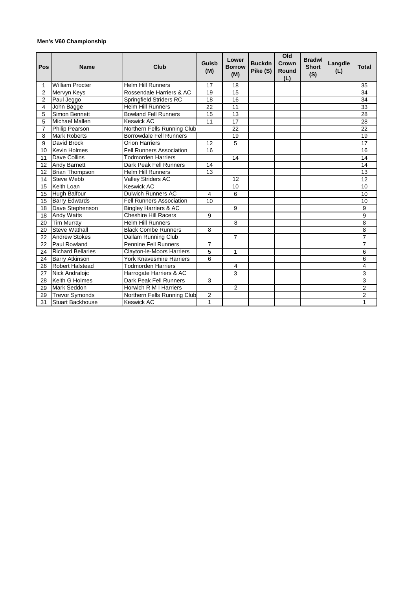## **Men's V60 Championship**

| Pos            | <b>Name</b>              | Club                             | Guisb<br>(M)    | Lower<br><b>Borrow</b><br>(M) | <b>Buckdn</b><br>Pike (S) | Old<br>Crown<br>Round<br>(L) | <b>Bradwl</b><br><b>Short</b><br>(S) | Langdle<br>(L) | <b>Total</b>    |
|----------------|--------------------------|----------------------------------|-----------------|-------------------------------|---------------------------|------------------------------|--------------------------------------|----------------|-----------------|
| 1              | <b>William Procter</b>   | <b>Helm Hill Runners</b>         | 17              | 18                            |                           |                              |                                      |                | 35              |
| 2              | Mervyn Keys              | Rossendale Harriers & AC         | 19              | 15                            |                           |                              |                                      |                | 34              |
| $\overline{2}$ | Paul Jeggo               | Springfield Striders RC          | 18              | 16                            |                           |                              |                                      |                | 34              |
| 4              | John Bagge               | <b>Helm Hill Runners</b>         | 22              | 11                            |                           |                              |                                      |                | 33              |
| 5              | Simon Bennett            | <b>Bowland Fell Runners</b>      | 15              | 13                            |                           |                              |                                      |                | 28              |
| 5              | Michael Mallen           | <b>Keswick AC</b>                | 11              | $\overline{17}$               |                           |                              |                                      |                | 28              |
| $\overline{7}$ | Philip Pearson           | Northern Fells Running Club      |                 | 22                            |                           |                              |                                      |                | 22              |
| 8              | <b>Mark Roberts</b>      | <b>Borrowdale Fell Runners</b>   |                 | 19                            |                           |                              |                                      |                | 19              |
| 9              | David Brock              | <b>Orion Harriers</b>            | 12              | 5                             |                           |                              |                                      |                | 17              |
| 10             | <b>Kevin Holmes</b>      | <b>Fell Runners Association</b>  | $\overline{16}$ |                               |                           |                              |                                      |                | 16              |
| 11             | Dave Collins             | Todmorden Harriers               |                 | 14                            |                           |                              |                                      |                | 14              |
| 12             | <b>Andy Barnett</b>      | Dark Peak Fell Runners           | 14              |                               |                           |                              |                                      |                | 14              |
| 12             | <b>Brian Thompson</b>    | <b>Helm Hill Runners</b>         | 13              |                               |                           |                              |                                      |                | 13              |
| 14             | <b>Steve Webb</b>        | <b>Valley Striders AC</b>        |                 | $\overline{12}$               |                           |                              |                                      |                | $\overline{12}$ |
| 15             | Keith Loan               | <b>Keswick AC</b>                |                 | 10                            |                           |                              |                                      |                | 10              |
| 15             | <b>Hugh Balfour</b>      | <b>Dulwich Runners AC</b>        | $\overline{4}$  | 6                             |                           |                              |                                      |                | 10              |
| 15             | <b>Barry Edwards</b>     | <b>Fell Runners Association</b>  | 10              |                               |                           |                              |                                      |                | 10              |
| 18             | Dave Stephenson          | <b>Bingley Harriers &amp; AC</b> |                 | 9                             |                           |                              |                                      |                | 9               |
| 18             | <b>Andy Watts</b>        | <b>Cheshire Hill Racers</b>      | 9               |                               |                           |                              |                                      |                | $\overline{9}$  |
| 20             | <b>Tim Murray</b>        | <b>Helm Hill Runners</b>         |                 | 8                             |                           |                              |                                      |                | 8               |
| 20             | <b>Steve Wathall</b>     | <b>Black Combe Runners</b>       | 8               |                               |                           |                              |                                      |                | $\overline{8}$  |
| 22             | <b>Andrew Stokes</b>     | Dallam Running Club              |                 | $\overline{7}$                |                           |                              |                                      |                | $\overline{7}$  |
| 22             | Paul Rowland             | <b>Pennine Fell Runners</b>      | $\overline{7}$  |                               |                           |                              |                                      |                | $\overline{7}$  |
| 24             | <b>Richard Bellaries</b> | Clayton-le-Moors Harriers        | 5               | $\mathbf{1}$                  |                           |                              |                                      |                | 6               |
| 24             | <b>Barry Atkinson</b>    | York Knavesmire Harriers         | 6               |                               |                           |                              |                                      |                | 6               |
| 26             | <b>Robert Halstead</b>   | Todmorden Harriers               |                 | 4                             |                           |                              |                                      |                | $\overline{4}$  |
| 27             | Nick Andralojc           | Harrogate Harriers & AC          |                 | 3                             |                           |                              |                                      |                | 3               |
| 28             | Keith G Holmes           | Dark Peak Fell Runners           | $\mathbf{3}$    |                               |                           |                              |                                      |                | $\overline{3}$  |
| 29             | <b>Mark Seddon</b>       | Horwich R M I Harriers           |                 | $\overline{2}$                |                           |                              |                                      |                | $\overline{c}$  |
| 29             | <b>Trevor Symonds</b>    | Northern Fells Running Club      | 2               |                               |                           |                              |                                      |                | $\overline{c}$  |
| 31             | <b>Stuart Backhouse</b>  | <b>Keswick AC</b>                | 1               |                               |                           |                              |                                      |                | 1               |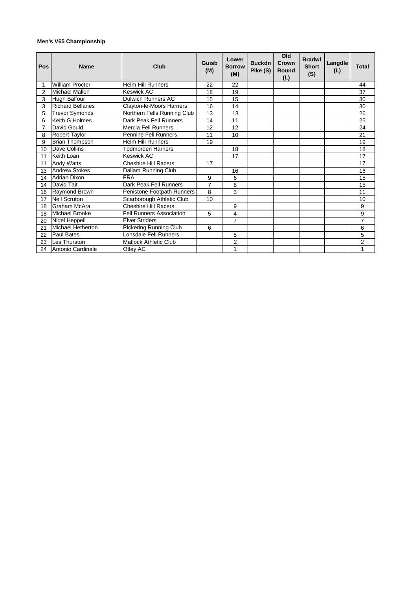## **Men's V65 Championship**

| Pos | <b>Name</b>              | Club                            | Guisb<br>(M) | Lower<br><b>Borrow</b><br>(M) | <b>Buckdn</b><br>Pike (S) | Old<br>Crown<br><b>Round</b><br>(L) | <b>Bradwl</b><br><b>Short</b><br>(S) | Langdle<br>(L) | <b>Total</b>   |
|-----|--------------------------|---------------------------------|--------------|-------------------------------|---------------------------|-------------------------------------|--------------------------------------|----------------|----------------|
|     | <b>William Procter</b>   | <b>Helm Hill Runners</b>        | 22           | 22                            |                           |                                     |                                      |                | 44             |
| 2   | Michael Mallen           | <b>Keswick AC</b>               | 18           | 19                            |                           |                                     |                                      |                | 37             |
| 3   | Hugh Balfour             | <b>Dulwich Runners AC</b>       | 15           | 15                            |                           |                                     |                                      |                | 30             |
| 3   | <b>Richard Bellaries</b> | Clayton-le-Moors Harriers       | 16           | 14                            |                           |                                     |                                      |                | 30             |
| 5   | <b>Trevor Symonds</b>    | Northern Fells Running Club     | 13           | 13                            |                           |                                     |                                      |                | 26             |
| 6   | Keith G Holmes           | Dark Peak Fell Runners          | 14           | 11                            |                           |                                     |                                      |                | 25             |
| 7   | David Gould              | Mercia Fell Runners             | 12           | 12                            |                           |                                     |                                      |                | 24             |
| 8   | <b>Robert Taylor</b>     | <b>Pennine Fell Runners</b>     | 11           | 10                            |                           |                                     |                                      |                | 21             |
| 9   | <b>Brian Thompson</b>    | <b>Helm Hill Runners</b>        | 19           |                               |                           |                                     |                                      |                | 19             |
| 10  | Dave Collins             | <b>Todmorden Harriers</b>       |              | 18                            |                           |                                     |                                      |                | 18             |
| 11  | Keith Loan               | Keswick AC                      |              | 17                            |                           |                                     |                                      |                | 17             |
| 11  | Andy Watts               | <b>Cheshire Hill Racers</b>     | 17           |                               |                           |                                     |                                      |                | 17             |
| 13  | <b>Andrew Stokes</b>     | <b>Dallam Running Club</b>      |              | 16                            |                           |                                     |                                      |                | 16             |
| 14  | <b>Adrian Dixon</b>      | <b>FRA</b>                      | 9            | 6                             |                           |                                     |                                      |                | 15             |
| 14  | David Tait               | Dark Peak Fell Runners          | 7            | 8                             |                           |                                     |                                      |                | 15             |
| 16  | Raymond Brown            | Penistone Footpath Runners      | 8            | 3                             |                           |                                     |                                      |                | 11             |
| 17  | <b>Neil Scruton</b>      | Scarborough Athletic Club       | 10           |                               |                           |                                     |                                      |                | 10             |
| 18  | Graham McAra             | <b>Cheshire Hill Racers</b>     |              | 9                             |                           |                                     |                                      |                | 9              |
| 18  | Michael Brooke           | <b>Fell Runners Association</b> | 5            | 4                             |                           |                                     |                                      |                | 9              |
| 20  | Nigel Heppell            | <b>Elvet Striders</b>           |              | $\overline{7}$                |                           |                                     |                                      |                | $\overline{7}$ |
| 21  | <b>Michael Hetherton</b> | Pickering Running Club          | 6            |                               |                           |                                     |                                      |                | 6              |
| 22  | Paul Bates               | Lonsdale Fell Runners           |              | 5                             |                           |                                     |                                      |                | 5              |
| 23  | Les Thurston             | <b>Matlock Athletic Club</b>    |              | 2                             |                           |                                     |                                      |                | 2              |
| 24  | Antonio Cardinale        | Otley AC                        |              | 1                             |                           |                                     |                                      |                | 1              |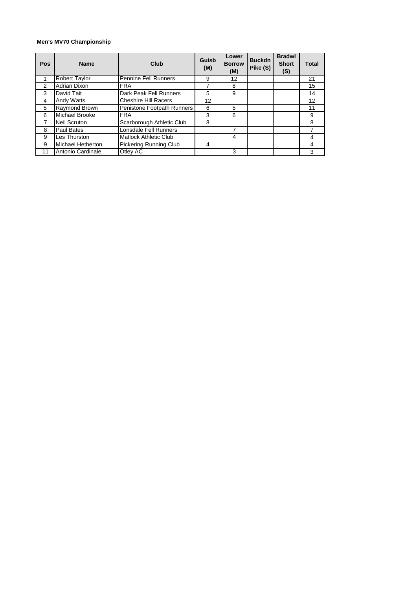## **Men's MV70 Championship**

| Pos | <b>Name</b>              | Club                         | Guisb<br>(M) | Lower<br><b>Borrow</b><br>(M) | <b>Buckdn</b><br>Pike (S) | <b>Bradwl</b><br><b>Short</b><br>(S) | <b>Total</b> |
|-----|--------------------------|------------------------------|--------------|-------------------------------|---------------------------|--------------------------------------|--------------|
|     | <b>Robert Taylor</b>     | <b>Pennine Fell Runners</b>  | 9            | 12                            |                           |                                      | 21           |
| 2   | <b>Adrian Dixon</b>      | <b>FRA</b>                   |              | 8                             |                           |                                      | 15           |
| 3   | David Tait               | Dark Peak Fell Runners       | 5            | 9                             |                           |                                      | 14           |
| 4   | <b>Andy Watts</b>        | <b>Cheshire Hill Racers</b>  | 12           |                               |                           |                                      | 12           |
| 5   | Raymond Brown            | Penistone Footpath Runners   | 6            | 5                             |                           |                                      | 11           |
| 6   | <b>Michael Brooke</b>    | <b>FRA</b>                   | 3            | 6                             |                           |                                      | 9            |
|     | <b>Neil Scruton</b>      | Scarborough Athletic Club    | 8            |                               |                           |                                      | 8            |
| 8   | <b>Paul Bates</b>        | Lonsdale Fell Runners        |              |                               |                           |                                      |              |
| 9   | Les Thurston             | <b>Matlock Athletic Club</b> |              | 4                             |                           |                                      | 4            |
| 9   | <b>Michael Hetherton</b> | Pickering Running Club       | 4            |                               |                           |                                      |              |
| 11  | Antonio Cardinale        | Otley AC                     |              | 3                             |                           |                                      | 3            |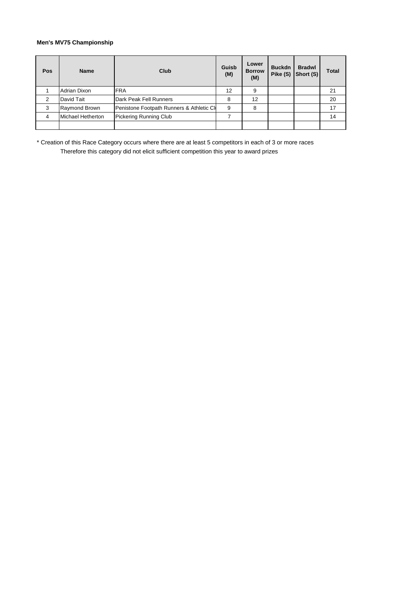## **Men's MV75 Championship**

| Pos            | <b>Name</b>              | Club                                      | Guisb<br>(M) | Lower<br><b>Borrow</b><br>(M) | <b>Buckdn</b><br>Pike (S) | <b>Bradwl</b><br>Short (S) | Total |
|----------------|--------------------------|-------------------------------------------|--------------|-------------------------------|---------------------------|----------------------------|-------|
|                | Adrian Dixon             | <b>FRA</b>                                | 12           | 9                             |                           |                            | 21    |
| $\mathcal{P}$  | David Tait               | Dark Peak Fell Runners                    | 8            | 12                            |                           |                            | 20    |
| 3              | Raymond Brown            | Penistone Footpath Runners & Athletic CII | 9            | 8                             |                           |                            | 17    |
| $\overline{4}$ | <b>Michael Hetherton</b> | <b>Pickering Running Club</b>             |              |                               |                           |                            | 14    |
|                |                          |                                           |              |                               |                           |                            |       |

\* Creation of this Race Category occurs where there are at least 5 competitors in each of 3 or more races Therefore this category did not elicit sufficient competition this year to award prizes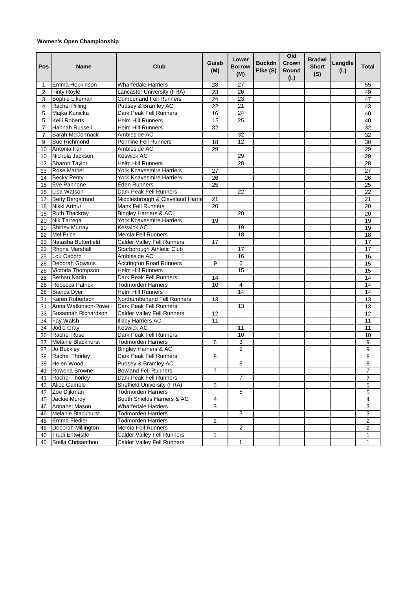## **Women's Open Championship**

| Pos | Name                    | Club                              | Guisb<br>(M)    | Lower<br><b>Borrow</b><br>(M) | <b>Buckdn</b><br>Pike (S) | Old<br>Crown<br>Round<br>(L) | <b>Bradwl</b><br><b>Short</b><br>(S) | Langdle<br>(L) | <b>Total</b>            |
|-----|-------------------------|-----------------------------------|-----------------|-------------------------------|---------------------------|------------------------------|--------------------------------------|----------------|-------------------------|
| 1   | Emma Hopkinson          | Wharfedale Harriers               | 28              | 27                            |                           |                              |                                      |                | 55                      |
| 2   | <b>Finty Royle</b>      | Lancaster University (FRA)        | 23              | 26                            |                           |                              |                                      |                | 49                      |
| 3   | Sophie Likeman          | <b>Cumberland Fell Runners</b>    | 24              | 23                            |                           |                              |                                      |                | 47                      |
| 4   | <b>Rachel Pilling</b>   | Pudsey & Bramley AC               | $\overline{22}$ | 21                            |                           |                              |                                      |                | 43                      |
| 5   | Majka Kunicka           | Dark Peak Fell Runners            | 16              | 24                            |                           |                              |                                      |                | 40                      |
| 5   | Kelli Roberts           | <b>Helm Hill Runners</b>          | 15              | 25                            |                           |                              |                                      |                | 40                      |
| 7   | Hannah Russell          | <b>Helm Hill Runners</b>          | 32              |                               |                           |                              |                                      |                | 32                      |
| 7   | Sarah McCormack         | Ambleside AC                      |                 | 32                            |                           |                              |                                      |                | 32                      |
| 9   | Sue Richmond            | <b>Pennine Fell Runners</b>       | 18              | 12                            |                           |                              |                                      |                | 30                      |
| 10  | Antonia Fan             | Ambleside AC                      | 29              |                               |                           |                              |                                      |                | 29                      |
| 10  | Nichola Jackson         | Keswick AC                        |                 | 29                            |                           |                              |                                      |                | 29                      |
| 12  | <b>Sharon Taylor</b>    | <b>Helm Hill Runners</b>          |                 | 28                            |                           |                              |                                      |                | 28                      |
| 13  | Rose Mather             | York Knavesmire Harriers          | 27              |                               |                           |                              |                                      |                | 27                      |
| 14  | <b>Becky Penty</b>      | York Knavesmire Harriers          | 26              |                               |                           |                              |                                      |                | 26                      |
| 15  | Eve Pannone             | Eden Runners                      | 25              |                               |                           |                              |                                      |                | 25                      |
| 16  | Lisa Watson             | Dark Peak Fell Runners            |                 | 22                            |                           |                              |                                      |                | 22                      |
| 17  | <b>Betty Bergstrand</b> | Middlesbrough & Cleveland Harrie  | 21              |                               |                           |                              |                                      |                | 21                      |
| 18  | Nikki Arthur            | <b>Manx Fell Runners</b>          | 20              |                               |                           |                              |                                      |                | 20                      |
| 18  | <b>Ruth Thackray</b>    | <b>Bingley Harriers &amp; AC</b>  |                 | 20                            |                           |                              |                                      |                | 20                      |
| 20  | Nik Tarrega             | York Knavesmire Harriers          | 19              |                               |                           |                              |                                      |                | 19                      |
| 20  | <b>Shirley Murray</b>   | Keswick AC                        |                 | 19                            |                           |                              |                                      |                | 19                      |
| 22  | <b>Mel Price</b>        | <b>Mercia Fell Runners</b>        |                 | 18                            |                           |                              |                                      |                | 18                      |
| 23  | Natasha Butterfield     | <b>Calder Valley Fell Runners</b> | 17              |                               |                           |                              |                                      |                | 17                      |
| 23  | <b>Rhona Marshall</b>   | Scarborough Athletic Club         |                 | 17                            |                           |                              |                                      |                | 17                      |
| 25  | Lou Osborn              | Ambleside AC                      |                 | 16                            |                           |                              |                                      |                | 16                      |
| 26  | Deborah Gowans          | <b>Accrington Road Runners</b>    | 9               | 6                             |                           |                              |                                      |                | 15                      |
| 26  | Victoria Thompson       | <b>Helm Hill Runners</b>          |                 | 15                            |                           |                              |                                      |                | 15                      |
| 28  | Bethan Nadin            | Dark Peak Fell Runners            | 14              |                               |                           |                              |                                      |                | 14                      |
| 28  | Rebecca Patrick         | Todmorden Harriers                | 10              | 4                             |                           |                              |                                      |                | 14                      |
| 28  | <b>Bianca Dyer</b>      | Helm Hill Runners                 |                 | 14                            |                           |                              |                                      |                | 14                      |
| 31  | Karen Robertson         | Northumberland Fell Runners       | 13              |                               |                           |                              |                                      |                | 13                      |
| 31  | Anna Watkinson-Powell   | Dark Peak Fell Runners            |                 | 13                            |                           |                              |                                      |                | $\overline{13}$         |
| 33  | Susannah Richardson     | <b>Calder Valley Fell Runners</b> | 12              |                               |                           |                              |                                      |                | 12                      |
| 34  | Fay Walsh               | <b>Ilkley Harriers AC</b>         | 11              |                               |                           |                              |                                      |                | 11                      |
| 34  | Jodie Gray              | Keswick AC                        |                 | 11                            |                           |                              |                                      |                | 11                      |
| 36  | Rachel Rose             | Dark Peak Fell Runners            |                 | 10                            |                           |                              |                                      |                | 10                      |
| 37  | Melanie Blackhurst      | Todmorden Harriers                | 6               | 3                             |                           |                              |                                      |                | 9                       |
| 37  | Jo Buckley              | <b>Bingley Harriers &amp; AC</b>  |                 | 9                             |                           |                              |                                      |                | $\overline{9}$          |
| 39  | <b>Rachel Thorley</b>   | Dark Peak Fell Runners            | 8               |                               |                           |                              |                                      |                | 8                       |
|     | 39 Helen Wood           | Pudsey & Bramley AC               |                 | 8                             |                           |                              |                                      |                | 8                       |
| 41  | Rowena Browne           | <b>Bowland Fell Runners</b>       | $\overline{7}$  |                               |                           |                              |                                      |                | 7                       |
| 41  | Rachel Thorley          | Dark Peak Fell Runners            |                 | $\overline{7}$                |                           |                              |                                      |                | 7                       |
| 43  | Alice Gamble            | Sheffield University (FRA)        | 5               |                               |                           |                              |                                      |                | 5                       |
| 43  | Zoe Dijkman             | <b>Todmorden Harriers</b>         |                 | 5                             |                           |                              |                                      |                | 5                       |
| 45  | Jackie Murdy            | South Shields Harriers & AC       | 4               |                               |                           |                              |                                      |                | 4                       |
| 46  | Annabel Mason           | <b>Wharfedale Harriers</b>        | 3               |                               |                           |                              |                                      |                | 3                       |
| 46  | Melanie Blackhurst      | <b>Todmorden Harriers</b>         |                 | 3                             |                           |                              |                                      |                | 3                       |
| 48  | Emma Fiedler            | <b>Todmorden Harriers</b>         | 2               |                               |                           |                              |                                      |                | $\overline{\mathbf{c}}$ |
| 48  | Deborah Millington      | Mercia Fell Runners               |                 | 2                             |                           |                              |                                      |                | 2                       |
| 40  | <b>Trudi Entwistle</b>  | Calder Valley Fell Runners        | 1               |                               |                           |                              |                                      |                | 1                       |
| 40  | Stella Chrisanthou      | Calder Valley Fell Runners        |                 | 1                             |                           |                              |                                      |                | 1                       |
|     |                         |                                   |                 |                               |                           |                              |                                      |                |                         |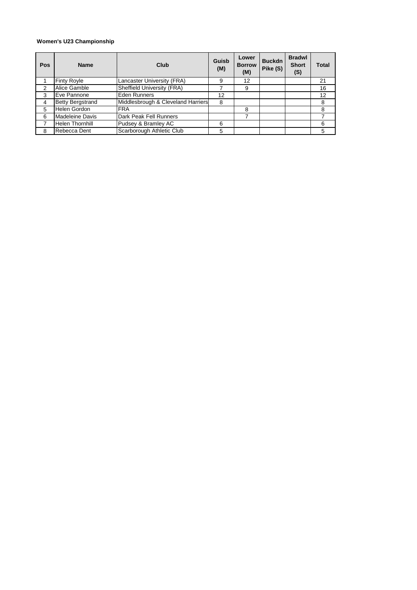## **Women's U23 Championship**

| Pos | <b>Name</b>             | Club                               | Guisb<br>(M) | Lower<br><b>Borrow</b><br>(M) | <b>Buckdn</b><br>Pike (S) | <b>Bradwl</b><br><b>Short</b><br>(S) | Total |
|-----|-------------------------|------------------------------------|--------------|-------------------------------|---------------------------|--------------------------------------|-------|
|     | <b>Finty Royle</b>      | Lancaster University (FRA)         | 9            | 12                            |                           |                                      | 21    |
| 2   | Alice Gamble            | Sheffield University (FRA)         |              | 9                             |                           |                                      | 16    |
| 3   | Eve Pannone             | Eden Runners                       | 12           |                               |                           |                                      | 12    |
| 4   | <b>Betty Bergstrand</b> | Middlesbrough & Cleveland Harriers | 8            |                               |                           |                                      | 8     |
| 5   | Helen Gordon            | <b>FRA</b>                         |              | 8                             |                           |                                      | 8     |
| 6   | <b>Madeleine Davis</b>  | Dark Peak Fell Runners             |              |                               |                           |                                      |       |
|     | <b>Helen Thornhill</b>  | Pudsey & Bramley AC                | 6            |                               |                           |                                      | 6     |
| 8   | Rebecca Dent            | Scarborough Athletic Club          | 5            |                               |                           |                                      | 5     |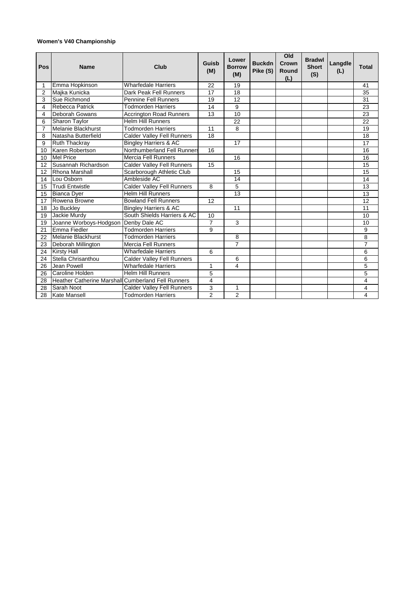## **Women's V40 Championship**

| Pos             | <b>Name</b>                                        | Club                              | Guisb<br>(M)            | Lower<br><b>Borrow</b><br>(M) | <b>Buckdn</b><br>Pike (S) | Old<br>Crown<br>Round<br>(L) | <b>Bradwl</b><br><b>Short</b><br>(S) | Langdle<br>(L) | <b>Total</b>   |
|-----------------|----------------------------------------------------|-----------------------------------|-------------------------|-------------------------------|---------------------------|------------------------------|--------------------------------------|----------------|----------------|
| 1               | Emma Hopkinson                                     | <b>Wharfedale Harriers</b>        | 22                      | 19                            |                           |                              |                                      |                | 41             |
| 2               | Majka Kunicka                                      | Dark Peak Fell Runners            | 17                      | 18                            |                           |                              |                                      |                | 35             |
| 3               | Sue Richmond                                       | <b>Pennine Fell Runners</b>       | 19                      | 12                            |                           |                              |                                      |                | 31             |
| 4               | Rebecca Patrick                                    | <b>Todmorden Harriers</b>         | 14                      | 9                             |                           |                              |                                      |                | 23             |
| 4               | Deborah Gowans                                     | <b>Accrington Road Runners</b>    | 13                      | 10                            |                           |                              |                                      |                | 23             |
| 6               | Sharon Taylor                                      | <b>Helm Hill Runners</b>          |                         | 22                            |                           |                              |                                      |                | 22             |
| $\overline{7}$  | <b>Melanie Blackhurst</b>                          | <b>Todmorden Harriers</b>         | 11                      | 8                             |                           |                              |                                      |                | 19             |
| 8               | Natasha Butterfield                                | <b>Calder Valley Fell Runners</b> | 18                      |                               |                           |                              |                                      |                | 18             |
| 9               | Ruth Thackray                                      | <b>Bingley Harriers &amp; AC</b>  |                         | 17                            |                           |                              |                                      |                | 17             |
| 10              | Karen Robertson                                    | Northumberland Fell Runners       | 16                      |                               |                           |                              |                                      |                | 16             |
| 10              | <b>Mel Price</b>                                   | <b>Mercia Fell Runners</b>        |                         | 16                            |                           |                              |                                      |                | 16             |
| 12              | Susannah Richardson                                | <b>Calder Valley Fell Runners</b> | 15                      |                               |                           |                              |                                      |                | 15             |
| 12              | Rhona Marshall                                     | Scarborough Athletic Club         |                         | 15                            |                           |                              |                                      |                | 15             |
| 14              | Lou Osborn                                         | Ambleside AC                      |                         | 14                            |                           |                              |                                      |                | 14             |
| 15              | <b>Trudi Entwistle</b>                             | Calder Valley Fell Runners        | 8                       | 5                             |                           |                              |                                      |                | 13             |
| 15              | <b>Bianca Dyer</b>                                 | <b>Helm Hill Runners</b>          |                         | $\overline{13}$               |                           |                              |                                      |                | 13             |
| 17              | Rowena Browne                                      | <b>Bowland Fell Runners</b>       | 12                      |                               |                           |                              |                                      |                | 12             |
| 18              | Jo Buckley                                         | <b>Bingley Harriers &amp; AC</b>  |                         | 11                            |                           |                              |                                      |                | 11             |
| 19              | Jackie Murdy                                       | South Shields Harriers & AC       | 10                      |                               |                           |                              |                                      |                | 10             |
| 19              | Joanne Worboys-Hodgson                             | Denby Dale AC                     | $\overline{7}$          | 3                             |                           |                              |                                      |                | 10             |
| $\overline{21}$ | Emma Fiedler                                       | <b>Todmorden Harriers</b>         | 9                       |                               |                           |                              |                                      |                | 9              |
| 22              | <b>Melanie Blackhurst</b>                          | <b>Todmorden Harriers</b>         |                         | 8                             |                           |                              |                                      |                | 8              |
| 23              | Deborah Millington                                 | <b>Mercia Fell Runners</b>        |                         | $\overline{7}$                |                           |                              |                                      |                | $\overline{7}$ |
| 24              | <b>Kirsty Hall</b>                                 | <b>Wharfedale Harriers</b>        | 6                       |                               |                           |                              |                                      |                | 6              |
| 24              | Stella Chrisanthou                                 | <b>Calder Valley Fell Runners</b> |                         | 6                             |                           |                              |                                      |                | $\overline{6}$ |
| 26              | Jean Powell                                        | <b>Wharfedale Harriers</b>        | 1                       | 4                             |                           |                              |                                      |                | 5              |
| 26              | Caroline Holden                                    | <b>Helm Hill Runners</b>          | 5                       |                               |                           |                              |                                      |                | 5              |
| 28              | Heather Catherine Marshall Cumberland Fell Runners |                                   | $\overline{\mathbf{4}}$ |                               |                           |                              |                                      |                | 4              |
| 28              | Sarah Noot                                         | <b>Calder Valley Fell Runners</b> | 3                       | 1                             |                           |                              |                                      |                | 4              |
| 28              | <b>Kate Mansell</b>                                | Todmorden Harriers                | $\overline{2}$          | $\overline{2}$                |                           |                              |                                      |                | 4              |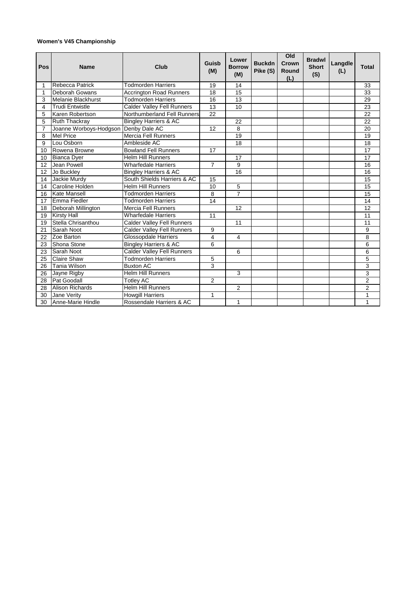## **Women's V45 Championship**

| Pos            | <b>Name</b>               | Club                              | Guisb<br>(M)   | Lower<br><b>Borrow</b><br>(M) | <b>Buckdn</b><br>Pike (S) | Old<br><b>Crown</b><br><b>Round</b><br>(L) | <b>Bradwl</b><br><b>Short</b><br>(S) | Langdle<br>(L) | <b>Total</b>    |
|----------------|---------------------------|-----------------------------------|----------------|-------------------------------|---------------------------|--------------------------------------------|--------------------------------------|----------------|-----------------|
| 1              | Rebecca Patrick           | <b>Todmorden Harriers</b>         | 19             | 14                            |                           |                                            |                                      |                | 33              |
| 1              | Deborah Gowans            | <b>Accrington Road Runners</b>    | 18             | 15                            |                           |                                            |                                      |                | 33              |
| 3              | <b>Melanie Blackhurst</b> | <b>Todmorden Harriers</b>         | 16             | 13                            |                           |                                            |                                      |                | 29              |
| 4              | <b>Trudi Entwistle</b>    | <b>Calder Valley Fell Runners</b> | 13             | 10                            |                           |                                            |                                      |                | 23              |
| 5              | Karen Robertson           | Northumberland Fell Runners       | 22             |                               |                           |                                            |                                      |                | 22              |
| 5              | <b>Ruth Thackray</b>      | <b>Bingley Harriers &amp; AC</b>  |                | 22                            |                           |                                            |                                      |                | 22              |
| $\overline{7}$ | Joanne Worboys-Hodgson    | Denby Dale AC                     | 12             | 8                             |                           |                                            |                                      |                | 20              |
| 8              | <b>Mel Price</b>          | <b>Mercia Fell Runners</b>        |                | 19                            |                           |                                            |                                      |                | 19              |
| 9              | Lou Osborn                | Ambleside AC                      |                | 18                            |                           |                                            |                                      |                | 18              |
| 10             | Rowena Browne             | <b>Bowland Fell Runners</b>       | 17             |                               |                           |                                            |                                      |                | $\overline{17}$ |
| 10             | <b>Bianca Dyer</b>        | <b>Helm Hill Runners</b>          |                | 17                            |                           |                                            |                                      |                | 17              |
| 12             | Jean Powell               | <b>Wharfedale Harriers</b>        | $\overline{7}$ | 9                             |                           |                                            |                                      |                | 16              |
| 12             | Jo Buckley                | <b>Bingley Harriers &amp; AC</b>  |                | 16                            |                           |                                            |                                      |                | 16              |
| 14             | Jackie Murdy              | South Shields Harriers & AC       | 15             |                               |                           |                                            |                                      |                | 15              |
| 14             | Caroline Holden           | <b>Helm Hill Runners</b>          | 10             | 5                             |                           |                                            |                                      |                | 15              |
| 16             | <b>Kate Mansell</b>       | <b>Todmorden Harriers</b>         | 8              | $\overline{7}$                |                           |                                            |                                      |                | 15              |
| 17             | Emma Fiedler              | <b>Todmorden Harriers</b>         | 14             |                               |                           |                                            |                                      |                | 14              |
| 18             | Deborah Millington        | <b>Mercia Fell Runners</b>        |                | 12                            |                           |                                            |                                      |                | 12              |
| 19             | <b>Kirsty Hall</b>        | <b>Wharfedale Harriers</b>        | 11             |                               |                           |                                            |                                      |                | 11              |
| 19             | Stella Chrisanthou        | <b>Calder Valley Fell Runners</b> |                | 11                            |                           |                                            |                                      |                | 11              |
| 21             | Sarah Noot                | <b>Calder Valley Fell Runners</b> | 9              |                               |                           |                                            |                                      |                | 9               |
| 22             | Zoe Barton                | <b>Glossopdale Harriers</b>       | 4              | 4                             |                           |                                            |                                      |                | 8               |
| 23             | Shona Stone               | <b>Bingley Harriers &amp; AC</b>  | 6              |                               |                           |                                            |                                      |                | $\overline{6}$  |
| 23             | Sarah Noot                | <b>Calder Valley Fell Runners</b> |                | 6                             |                           |                                            |                                      |                | 6               |
| 25             | <b>Claire Shaw</b>        | <b>Todmorden Harriers</b>         | 5              |                               |                           |                                            |                                      |                | 5               |
| 26             | Tania Wilson              | <b>Buxton AC</b>                  | 3              |                               |                           |                                            |                                      |                | 3               |
| 26             | Jayne Rigby               | <b>Helm Hill Runners</b>          |                | 3                             |                           |                                            |                                      |                | $\overline{3}$  |
| 28             | Pat Goodall               | <b>Totley AC</b>                  | $\overline{c}$ |                               |                           |                                            |                                      |                | $\overline{2}$  |
| 28             | <b>Alison Richards</b>    | <b>Helm Hill Runners</b>          |                | $\overline{c}$                |                           |                                            |                                      |                | 2               |
| 30             | Jane Verity               | <b>Howgill Harriers</b>           | 1              |                               |                           |                                            |                                      |                | 1               |
| 30             | Anne-Marie Hindle         | Rossendale Harriers & AC          |                | 1                             |                           |                                            |                                      |                | 1               |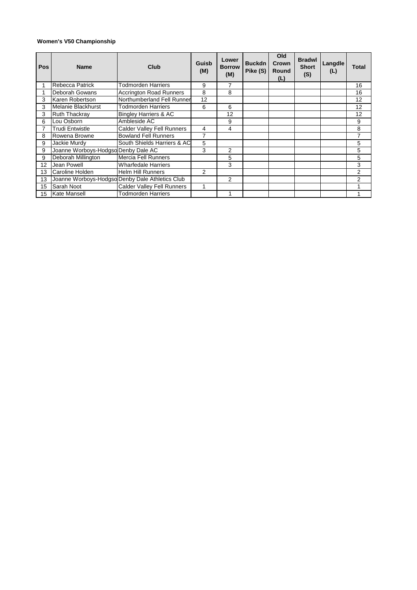## **Women's V50 Championship**

| <b>Pos</b> | <b>Name</b>                         | Club                                            | Guisb<br>(M)   | Lower<br><b>Borrow</b><br>(M) | <b>Buckdn</b><br>Pike (S) | Old<br>Crown<br>Round<br>(L) | <b>Bradwl</b><br><b>Short</b><br>(S) | Langdle<br>(L) | Total          |
|------------|-------------------------------------|-------------------------------------------------|----------------|-------------------------------|---------------------------|------------------------------|--------------------------------------|----------------|----------------|
|            | Rebecca Patrick                     | <b>Todmorden Harriers</b>                       | 9              | 7                             |                           |                              |                                      |                | 16             |
|            | Deborah Gowans                      | <b>Accrington Road Runners</b>                  | 8              | 8                             |                           |                              |                                      |                | 16             |
| 3          | Karen Robertson                     | Northumberland Fell Runner                      | 12             |                               |                           |                              |                                      |                | 12             |
| 3          | Melanie Blackhurst                  | Todmorden Harriers                              | 6              | 6                             |                           |                              |                                      |                | 12             |
| 3          | <b>Ruth Thackray</b>                | <b>Bingley Harriers &amp; AC</b>                |                | 12                            |                           |                              |                                      |                | 12             |
| 6          | Lou Osborn                          | Ambleside AC                                    |                | 9                             |                           |                              |                                      |                | 9              |
|            | Trudi Entwistle                     | <b>Calder Valley Fell Runners</b>               | 4              | 4                             |                           |                              |                                      |                | 8              |
| 8          | Rowena Browne                       | <b>Bowland Fell Runners</b>                     | 7              |                               |                           |                              |                                      |                | 7              |
| 9          | Jackie Murdy                        | South Shields Harriers & AC                     | 5              |                               |                           |                              |                                      |                | 5              |
| 9          | Joanne Worboys-Hodgso Denby Dale AC |                                                 | 3              | $\overline{2}$                |                           |                              |                                      |                | 5              |
| 9          | Deborah Millington                  | <b>Mercia Fell Runners</b>                      |                | 5                             |                           |                              |                                      |                | 5              |
| 12         | Jean Powell                         | <b>Wharfedale Harriers</b>                      |                | 3                             |                           |                              |                                      |                | 3              |
| 13         | Caroline Holden                     | <b>Helm Hill Runners</b>                        | $\overline{2}$ |                               |                           |                              |                                      |                | $\overline{2}$ |
| 13         |                                     | Joanne Worboys-Hodgso Denby Dale Athletics Club |                | $\mathcal{P}$                 |                           |                              |                                      |                | $\overline{2}$ |
| 15         | Sarah Noot                          | <b>Calder Valley Fell Runners</b>               |                |                               |                           |                              |                                      |                |                |
| 15         | <b>Kate Mansell</b>                 | <b>Todmorden Harriers</b>                       |                |                               |                           |                              |                                      |                |                |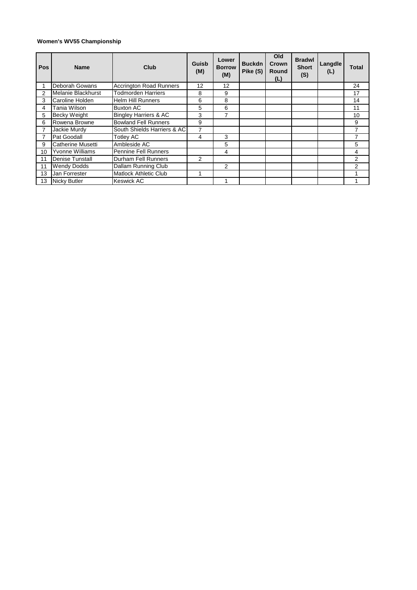## **Women's WV55 Championship**

| Pos            | <b>Name</b>              | Club                             | Guisb<br>(M) | Lower<br><b>Borrow</b><br>(M) | <b>Buckdn</b><br>Pike (S) | Old<br>Crown<br>Round<br>(L) | <b>Bradwl</b><br><b>Short</b><br>(S) | Langdle<br>(L) | Total          |
|----------------|--------------------------|----------------------------------|--------------|-------------------------------|---------------------------|------------------------------|--------------------------------------|----------------|----------------|
|                | Deborah Gowans           | <b>Accrington Road Runners</b>   | 12           | 12                            |                           |                              |                                      |                | 24             |
| $\overline{2}$ | Melanie Blackhurst       | <b>Todmorden Harriers</b>        | 8            | 9                             |                           |                              |                                      |                | 17             |
| 3              | Caroline Holden          | <b>Helm Hill Runners</b>         | 6            | 8                             |                           |                              |                                      |                | 14             |
| 4              | Tania Wilson             | <b>Buxton AC</b>                 | 5.           | 6                             |                           |                              |                                      |                | 11             |
| 5              | <b>Becky Weight</b>      | <b>Bingley Harriers &amp; AC</b> | 3            | 7                             |                           |                              |                                      |                | 10             |
| 6              | Rowena Browne            | <b>Bowland Fell Runners</b>      | 9            |                               |                           |                              |                                      |                | 9              |
|                | Jackie Murdy             | South Shields Harriers & AC      |              |                               |                           |                              |                                      |                | 7              |
|                | Pat Goodall              | <b>Totley AC</b>                 | 4            | 3                             |                           |                              |                                      |                | 7              |
| 9              | <b>Catherine Musetti</b> | Ambleside AC                     |              | 5                             |                           |                              |                                      |                | 5              |
| 10             | <b>Yvonne Williams</b>   | <b>Pennine Fell Runners</b>      |              | 4                             |                           |                              |                                      |                | 4              |
| 11             | <b>Denise Tunstall</b>   | Durham Fell Runners              | 2            |                               |                           |                              |                                      |                | 2              |
| 11             | <b>Wendy Dodds</b>       | Dallam Running Club              |              | 2                             |                           |                              |                                      |                | $\overline{2}$ |
| 13             | Jan Forrester            | Matlock Athletic Club            |              |                               |                           |                              |                                      |                |                |
| 13             | <b>Nicky Butler</b>      | <b>Keswick AC</b>                |              |                               |                           |                              |                                      |                |                |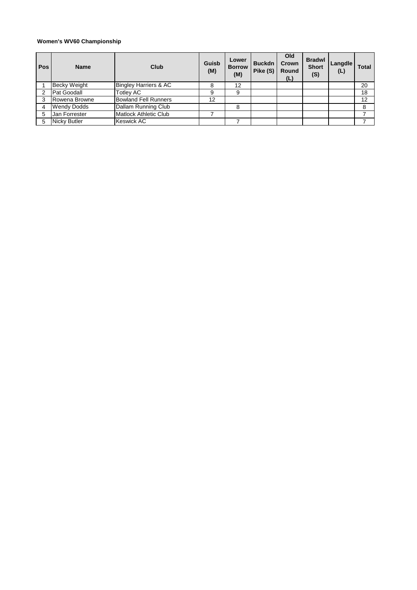## **Women's WV60 Championship**

| <b>Pos</b> | <b>Name</b>         | Club                             | Guisb<br>(M) | Lower<br><b>Borrow</b><br>(M) | <b>Buckdn</b><br>Pike (S) | Old<br>Crown<br>Round<br>(L) | <b>Bradwl</b><br><b>Short</b><br>(S) | Langdle<br>(L) | Total |
|------------|---------------------|----------------------------------|--------------|-------------------------------|---------------------------|------------------------------|--------------------------------------|----------------|-------|
|            | <b>Becky Weight</b> | <b>Bingley Harriers &amp; AC</b> |              | 12                            |                           |                              |                                      |                | 20    |
|            | Pat Goodall         | <b>Totley AC</b>                 | 9            | 9                             |                           |                              |                                      |                | 18    |
|            | Rowena Browne       | <b>Bowland Fell Runners</b>      | 12           |                               |                           |                              |                                      |                | 12    |
|            | <b>Wendy Dodds</b>  | Dallam Running Club              |              | 8                             |                           |                              |                                      |                | 8     |
|            | Jan Forrester       | <b>Matlock Athletic Club</b>     |              |                               |                           |                              |                                      |                |       |
| 5          | <b>Nicky Butler</b> | <b>Keswick AC</b>                |              |                               |                           |                              |                                      |                |       |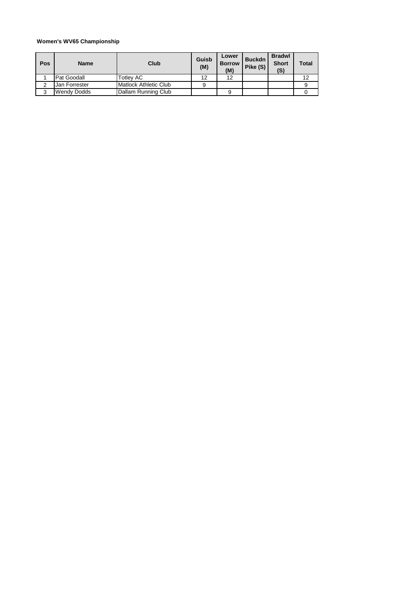## **Women's WV65 Championship**

| Pos | <b>Name</b>   | Club                         | Guisb<br>(M) | Lower<br><b>Borrow</b><br>(M) | <b>Buckdn</b><br>Pike (S) | <b>Bradwl</b><br><b>Short</b><br>(S) | Total |
|-----|---------------|------------------------------|--------------|-------------------------------|---------------------------|--------------------------------------|-------|
|     | Pat Goodall   | Гotlev AC                    | 12           | 12                            |                           |                                      | 12    |
|     | Jan Forrester | <b>Matlock Athletic Club</b> |              |                               |                           |                                      |       |
| 3   | Wendy Dodds   | Dallam Running Club          |              |                               |                           |                                      |       |